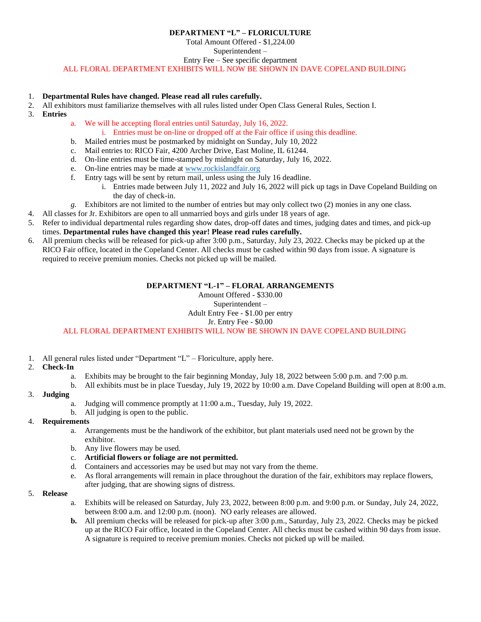### **DEPARTMENT "L" – FLORICULTURE**

Total Amount Offered - \$1,224.00

Superintendent –

Entry Fee – See specific department

ALL FLORAL DEPARTMENT EXHIBITS WILL NOW BE SHOWN IN DAVE COPELAND BUILDING

### 1. **Departmental Rules have changed. Please read all rules carefully.**

- 2. All exhibitors must familiarize themselves with all rules listed under Open Class General Rules, Section I.
- 3. **Entries**
- a. We will be accepting floral entries until Saturday, July 16, 2022.

i. Entries must be on-line or dropped off at the Fair office if using this deadline.

- b. Mailed entries must be postmarked by midnight on Sunday, July 10, 2022
- c. Mail entries to: RICO Fair, 4200 Archer Drive, East Moline, IL 61244.
- d. On-line entries must be time-stamped by midnight on Saturday, July 16, 2022.
- e. On-line entries may be made a[t www.rockislandfair.org](http://www.rockislandfair.org/)
- f. Entry tags will be sent by return mail, unless using the July 16 deadline.
	- i. Entries made between July 11, 2022 and July 16, 2022 will pick up tags in Dave Copeland Building on the day of check-in.
- *g.* Exhibitors are not limited to the number of entries but may only collect two (2) monies in any one class.
- 4. All classes for Jr. Exhibitors are open to all unmarried boys and girls under 18 years of age.
- 5. Refer to individual departmental rules regarding show dates, drop-off dates and times, judging dates and times, and pick-up times. **Departmental rules have changed this year! Please read rules carefully.**
- 6. All premium checks will be released for pick-up after 3:00 p.m., Saturday, July 23, 2022. Checks may be picked up at the RICO Fair office, located in the Copeland Center. All checks must be cashed within 90 days from issue. A signature is required to receive premium monies. Checks not picked up will be mailed.

## **DEPARTMENT "L-1" – FLORAL ARRANGEMENTS**

Amount Offered - \$330.00 Superintendent –

## Adult Entry Fee - \$1.00 per entry

### Jr. Entry Fee - \$0.00

## ALL FLORAL DEPARTMENT EXHIBITS WILL NOW BE SHOWN IN DAVE COPELAND BUILDING

1. All general rules listed under "Department "L" – Floriculture, apply here.

## 2. **Check-In**

- a. Exhibits may be brought to the fair beginning Monday, July 18, 2022 between 5:00 p.m. and 7:00 p.m.
- b. All exhibits must be in place Tuesday, July 19, 2022 by 10:00 a.m. Dave Copeland Building will open at 8:00 a.m.

# 3. **Judging**

- a. Judging will commence promptly at 11:00 a.m., Tuesday, July 19, 2022.
- b. All judging is open to the public.

### 4. **Requirements**

- a. Arrangements must be the handiwork of the exhibitor, but plant materials used need not be grown by the exhibitor.
- b. Any live flowers may be used.
- c. **Artificial flowers or foliage are not permitted.**
- d. Containers and accessories may be used but may not vary from the theme.
- e. As floral arrangements will remain in place throughout the duration of the fair, exhibitors may replace flowers, after judging, that are showing signs of distress.

### 5. **Release**

- a. Exhibits will be released on Saturday, July 23, 2022, between 8:00 p.m. and 9:00 p.m. or Sunday, July 24, 2022, between 8:00 a.m. and 12:00 p.m. (noon). NO early releases are allowed.
- **b.** All premium checks will be released for pick-up after 3:00 p.m., Saturday, July 23, 2022. Checks may be picked up at the RICO Fair office, located in the Copeland Center. All checks must be cashed within 90 days from issue. A signature is required to receive premium monies. Checks not picked up will be mailed.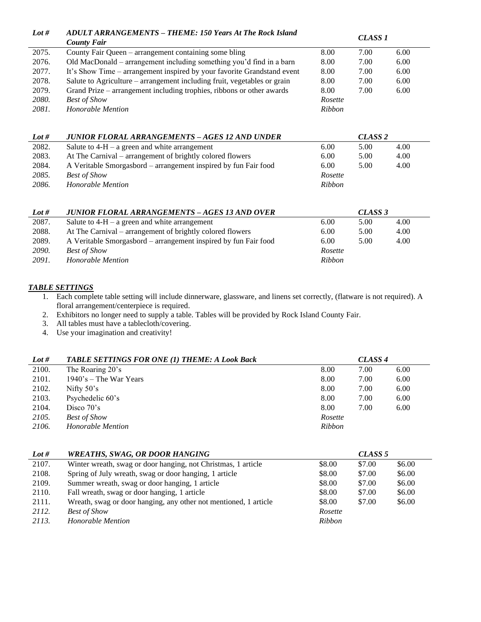| Lot #        | <b>ADULT ARRANGEMENTS – THEME: 150 Years At The Rock Island</b>          |               | CLASS <sub>1</sub> |      |
|--------------|--------------------------------------------------------------------------|---------------|--------------------|------|
|              | <b>County Fair</b>                                                       |               |                    |      |
| 2075.        | County Fair Queen – arrangement containing some bling                    | 8.00          | 7.00               | 6.00 |
| 2076.        | Old MacDonald - arrangement including something you'd find in a barn     | 8.00          | 7.00               | 6.00 |
| 2077.        | It's Show Time – arrangement inspired by your favorite Grandstand event  | 8.00          | 7.00               | 6.00 |
| 2078.        | Salute to Agriculture – arrangement including fruit, vegetables or grain | 8.00          | 7.00               | 6.00 |
| 2079.        | Grand Prize – arrangement including trophies, ribbons or other awards    | 8.00          | 7.00               | 6.00 |
| <i>2080.</i> | <b>Best of Show</b>                                                      | Rosette       |                    |      |
| 2081.        | Honorable Mention                                                        | <b>Ribbon</b> |                    |      |
|              |                                                                          |               |                    |      |
|              |                                                                          |               |                    |      |
| Lot #        | JUNIOR FLORAL ARRANGEMENTS – AGES 12 AND UNDER                           |               | CLASS <sub>2</sub> |      |
| 2082.        | Salute to $4-H - a$ green and white arrangement                          | 6.00          | 5.00               | 4.00 |
| 2083.        | At The Carnival – arrangement of brightly colored flowers                | 6.00          | 5.00               | 4.00 |
| 2084.        | A Veritable Smorgasbord – arrangement inspired by fun Fair food          | 6.00          | 5.00               | 4.00 |
| 2085.        | <b>Best of Show</b>                                                      | Rosette       |                    |      |
| 2086.        | Honorable Mention                                                        | <b>Ribbon</b> |                    |      |
|              |                                                                          |               |                    |      |

| Lot #        | <b>JUNIOR FLORAL ARRANGEMENTS - AGES 13 AND OVER</b>            |         | CLASS 3 |      |
|--------------|-----------------------------------------------------------------|---------|---------|------|
| 2087.        | Salute to $4-H - a$ green and white arrangement                 | 6.00    | 5.00    | 4.00 |
| 2088.        | At The Carnival – arrangement of brightly colored flowers       | 6.00    | 5.00    | 4.00 |
| 2089.        | A Veritable Smorgasbord – arrangement inspired by fun Fair food | 6.00    | 5.00    | 4.00 |
| <i>2090.</i> | <b>Best of Show</b>                                             | Rosette |         |      |
| 2091.        | Honorable Mention                                               | Ribbon  |         |      |

## *TABLE SETTINGS*

- 1. Each complete table setting will include dinnerware, glassware, and linens set correctly, (flatware is not required). A floral arrangement/centerpiece is required.
- 2. Exhibitors no longer need to supply a table. Tables will be provided by Rock Island County Fair.
- 3. All tables must have a tablecloth/covering.
- 4. Use your imagination and creativity!

| Lot # | TABLE SETTINGS FOR ONE (1) THEME: A Look Back | CLASS <sub>4</sub> |      |      |
|-------|-----------------------------------------------|--------------------|------|------|
| 2100. | The Roaring 20's                              | 8.00               | 7.00 | 6.00 |
| 2101. | $1940$ 's – The War Years                     | 8.00               | 7.00 | 6.00 |
| 2102. | Nifty $50's$                                  | 8.00               | 7.00 | 6.00 |
| 2103. | Psychedelic 60's                              | 8.00               | 7.00 | 6.00 |
| 2104. | Disco $70$ 's                                 | 8.00               | 7.00 | 6.00 |
| 2105. | <b>Best of Show</b>                           | Rosette            |      |      |
| 2106. | Honorable Mention                             | <b>Ribbon</b>      |      |      |

| Lot # | <b>WREATHS, SWAG, OR DOOR HANGING</b>                            |         | CLASS <sub>5</sub> |        |
|-------|------------------------------------------------------------------|---------|--------------------|--------|
| 2107. | Winter wreath, swag or door hanging, not Christmas, 1 article    | \$8.00  | \$7.00             | \$6.00 |
| 2108. | Spring of July wreath, swag or door hanging, 1 article           | \$8.00  | \$7.00             | \$6.00 |
| 2109. | Summer wreath, swag or door hanging, 1 article                   | \$8.00  | \$7.00             | \$6.00 |
| 2110. | Fall wreath, swag or door hanging, 1 article                     | \$8.00  | \$7.00             | \$6.00 |
| 2111. | Wreath, swag or door hanging, any other not mentioned, 1 article | \$8.00  | \$7.00             | \$6.00 |
| 2112. | <b>Best of Show</b>                                              | Rosette |                    |        |
| 2113. | Honorable Mention                                                | Ribbon  |                    |        |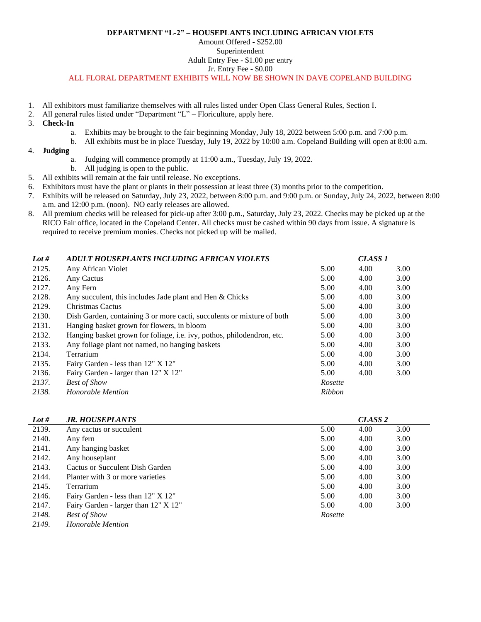#### **DEPARTMENT "L-2" – HOUSEPLANTS INCLUDING AFRICAN VIOLETS**

## Amount Offered - \$252.00

# Superintendent

Adult Entry Fee - \$1.00 per entry

Jr. Entry Fee - \$0.00

ALL FLORAL DEPARTMENT EXHIBITS WILL NOW BE SHOWN IN DAVE COPELAND BUILDING

- 1. All exhibitors must familiarize themselves with all rules listed under Open Class General Rules, Section I.
- 2. All general rules listed under "Department "L" Floriculture, apply here.
- 3. **Check-In**
	- a. Exhibits may be brought to the fair beginning Monday, July 18, 2022 between 5:00 p.m. and 7:00 p.m.
	- b. All exhibits must be in place Tuesday, July 19, 2022 by 10:00 a.m. Copeland Building will open at 8:00 a.m.
- 4. **Judging**
	- a. Judging will commence promptly at 11:00 a.m., Tuesday, July 19, 2022.
	- b. All judging is open to the public.
- 5. All exhibits will remain at the fair until release. No exceptions.
- 6. Exhibitors must have the plant or plants in their possession at least three (3) months prior to the competition.
- 7. Exhibits will be released on Saturday, July 23, 2022, between 8:00 p.m. and 9:00 p.m. or Sunday, July 24, 2022, between 8:00 a.m. and 12:00 p.m. (noon). NO early releases are allowed.
- 8. All premium checks will be released for pick-up after 3:00 p.m., Saturday, July 23, 2022. Checks may be picked up at the RICO Fair office, located in the Copeland Center. All checks must be cashed within 90 days from issue. A signature is required to receive premium monies. Checks not picked up will be mailed.

| Lot # | ADULT HOUSEPLANTS INCLUDING AFRICAN VIOLETS                            |               | CLASS <sub>1</sub> |      |
|-------|------------------------------------------------------------------------|---------------|--------------------|------|
| 2125. | Any African Violet                                                     | 5.00          | 4.00               | 3.00 |
| 2126. | Any Cactus                                                             | 5.00          | 4.00               | 3.00 |
| 2127. | Any Fern                                                               | 5.00          | 4.00               | 3.00 |
| 2128. | Any succulent, this includes Jade plant and Hen & Chicks               | 5.00          | 4.00               | 3.00 |
| 2129. | Christmas Cactus                                                       | 5.00          | 4.00               | 3.00 |
| 2130. | Dish Garden, containing 3 or more cacti, succulents or mixture of both | 5.00          | 4.00               | 3.00 |
| 2131. | Hanging basket grown for flowers, in bloom                             | 5.00          | 4.00               | 3.00 |
| 2132. | Hanging basket grown for foliage, i.e. ivy, pothos, philodendron, etc. | 5.00          | 4.00               | 3.00 |
| 2133. | Any foliage plant not named, no hanging baskets                        | 5.00          | 4.00               | 3.00 |
| 2134. | Terrarium                                                              | 5.00          | 4.00               | 3.00 |
| 2135. | Fairy Garden - less than 12" X 12"                                     | 5.00          | 4.00               | 3.00 |
| 2136. | Fairy Garden - larger than 12" X 12"                                   | 5.00          | 4.00               | 3.00 |
| 2137. | <b>Best of Show</b>                                                    | Rosette       |                    |      |
| 2138. | Honorable Mention                                                      | <b>Ribbon</b> |                    |      |

| Lot # | <b>JR. HOUSEPLANTS</b>               |         | CLASS <sub>2</sub> |      |
|-------|--------------------------------------|---------|--------------------|------|
| 2139. | Any cactus or succulent              | 5.00    | 4.00               | 3.00 |
| 2140. | Any fern                             | 5.00    | 4.00               | 3.00 |
| 2141. | Any hanging basket                   | 5.00    | 4.00               | 3.00 |
| 2142. | Any houseplant                       | 5.00    | 4.00               | 3.00 |
| 2143. | Cactus or Succulent Dish Garden      | 5.00    | 4.00               | 3.00 |
| 2144. | Planter with 3 or more varieties     | 5.00    | 4.00               | 3.00 |
| 2145. | Terrarium                            | 5.00    | 4.00               | 3.00 |
| 2146. | Fairy Garden - less than 12" X 12"   | 5.00    | 4.00               | 3.00 |
| 2147. | Fairy Garden - larger than 12" X 12" | 5.00    | 4.00               | 3.00 |
| 2148. | <b>Best of Show</b>                  | Rosette |                    |      |
| 2149. | <b>Honorable Mention</b>             |         |                    |      |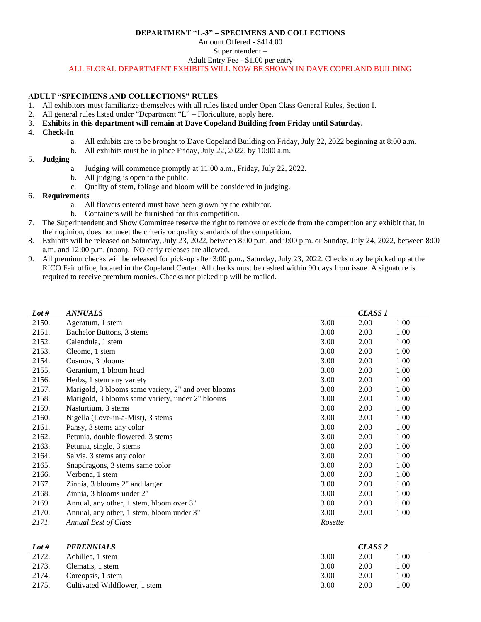#### **DEPARTMENT "L-3" – SPECIMENS AND COLLECTIONS**

Amount Offered - \$414.00

Superintendent –

Adult Entry Fee - \$1.00 per entry

ALL FLORAL DEPARTMENT EXHIBITS WILL NOW BE SHOWN IN DAVE COPELAND BUILDING

### **ADULT "SPECIMENS AND COLLECTIONS" RULES**

- 1. All exhibitors must familiarize themselves with all rules listed under Open Class General Rules, Section I.
- 2. All general rules listed under "Department "L" Floriculture, apply here.
- 3. **Exhibits in this department will remain at Dave Copeland Building from Friday until Saturday.**
- 4. **Check-In**
	- a. All exhibits are to be brought to Dave Copeland Building on Friday, July 22, 2022 beginning at 8:00 a.m.
	- b. All exhibits must be in place Friday, July 22, 2022, by 10:00 a.m.

### 5. **Judging**

- a. Judging will commence promptly at 11:00 a.m., Friday, July 22, 2022.
- b. All judging is open to the public.
- c. Quality of stem, foliage and bloom will be considered in judging.
- 6. **Requirements**
	- a. All flowers entered must have been grown by the exhibitor.
		- b. Containers will be furnished for this competition.
- 7. The Superintendent and Show Committee reserve the right to remove or exclude from the competition any exhibit that, in their opinion, does not meet the criteria or quality standards of the competition.
- 8. Exhibits will be released on Saturday, July 23, 2022, between 8:00 p.m. and 9:00 p.m. or Sunday, July 24, 2022, between 8:00 a.m. and 12:00 p.m. (noon). NO early releases are allowed.
- 9. All premium checks will be released for pick-up after 3:00 p.m., Saturday, July 23, 2022. Checks may be picked up at the RICO Fair office, located in the Copeland Center. All checks must be cashed within 90 days from issue. A signature is required to receive premium monies. Checks not picked up will be mailed.

| Lot # | <b>ANNUALS</b>                                      |         | <b>CLASS 1</b> |      |
|-------|-----------------------------------------------------|---------|----------------|------|
| 2150. | Ageratum, 1 stem                                    | 3.00    | 2.00           | 1.00 |
| 2151. | Bachelor Buttons, 3 stems                           | 3.00    | 2.00           | 1.00 |
| 2152. | Calendula, 1 stem                                   | 3.00    | 2.00           | 1.00 |
| 2153. | Cleome, 1 stem                                      | 3.00    | 2.00           | 1.00 |
| 2154. | Cosmos, 3 blooms                                    | 3.00    | 2.00           | 1.00 |
| 2155. | Geranium, 1 bloom head                              | 3.00    | 2.00           | 1.00 |
| 2156. | Herbs, 1 stem any variety                           | 3.00    | 2.00           | 1.00 |
| 2157. | Marigold, 3 blooms same variety, 2" and over blooms | 3.00    | 2.00           | 1.00 |
| 2158. | Marigold, 3 blooms same variety, under 2" blooms    | 3.00    | 2.00           | 1.00 |
| 2159. | Nasturtium, 3 stems                                 | 3.00    | 2.00           | 1.00 |
| 2160. | Nigella (Love-in-a-Mist), 3 stems                   | 3.00    | 2.00           | 1.00 |
| 2161. | Pansy, 3 stems any color                            | 3.00    | 2.00           | 1.00 |
| 2162. | Petunia, double flowered, 3 stems                   | 3.00    | 2.00           | 1.00 |
| 2163. | Petunia, single, 3 stems                            | 3.00    | 2.00           | 1.00 |
| 2164. | Salvia, 3 stems any color                           | 3.00    | 2.00           | 1.00 |
| 2165. | Snapdragons, 3 stems same color                     | 3.00    | 2.00           | 1.00 |
| 2166. | Verbena, 1 stem                                     | 3.00    | 2.00           | 1.00 |
| 2167. | Zinnia, 3 blooms 2" and larger                      | 3.00    | 2.00           | 1.00 |
| 2168. | Zinnia, 3 blooms under 2"                           | 3.00    | 2.00           | 1.00 |
| 2169. | Annual, any other, 1 stem, bloom over 3"            | 3.00    | 2.00           | 1.00 |
| 2170. | Annual, any other, 1 stem, bloom under 3"           | 3.00    | 2.00           | 1.00 |
| 2171. | <b>Annual Best of Class</b>                         | Rosette |                |      |
|       |                                                     |         |                |      |

| Lot # | <b>PERENNIALS</b>             |      | CLASS <sub>2</sub> |      |  |
|-------|-------------------------------|------|--------------------|------|--|
| 2172. | Achillea, 1 stem              | 3.00 | 2.00               | 1.00 |  |
| 2173. | Clematis, 1 stem              | 3.00 | 2.00               | 1.00 |  |
| 2174. | Coreopsis, 1 stem             | 3.00 | 2.00               | 1.00 |  |
| 2175. | Cultivated Wildflower, 1 stem | 3.00 | 2.00               | 1.00 |  |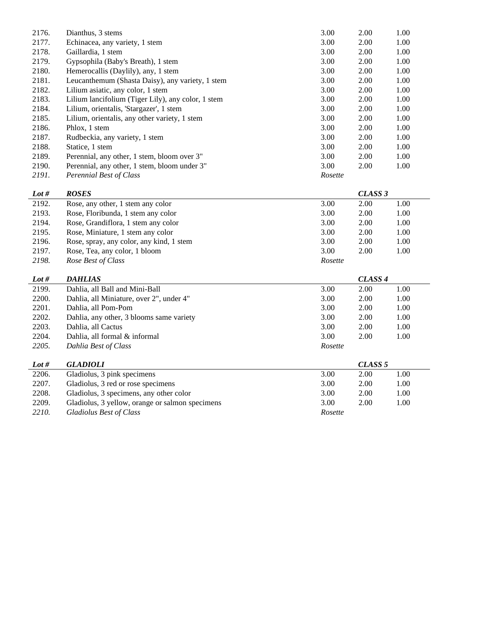| 2176. | Dianthus, 3 stems                                  | 3.00    | 2.00 | 1.00 |
|-------|----------------------------------------------------|---------|------|------|
| 2177. | Echinacea, any variety, 1 stem                     | 3.00    | 2.00 | 1.00 |
| 2178. | Gaillardia, 1 stem                                 | 3.00    | 2.00 | 1.00 |
| 2179. | Gypsophila (Baby's Breath), 1 stem                 | 3.00    | 2.00 | 1.00 |
| 2180. | Hemerocallis (Daylily), any, 1 stem                | 3.00    | 2.00 | 1.00 |
| 2181. | Leucanthemum (Shasta Daisy), any variety, 1 stem   | 3.00    | 2.00 | 1.00 |
| 2182. | Lilium asiatic, any color, 1 stem                  | 3.00    | 2.00 | 1.00 |
| 2183. | Lilium lancifolium (Tiger Lily), any color, 1 stem | 3.00    | 2.00 | 1.00 |
| 2184. | Lilium, orientalis, 'Stargazer', 1 stem            | 3.00    | 2.00 | 1.00 |
| 2185. | Lilium, orientalis, any other variety, 1 stem      | 3.00    | 2.00 | 1.00 |
| 2186. | Phlox, 1 stem                                      | 3.00    | 2.00 | 1.00 |
| 2187. | Rudbeckia, any variety, 1 stem                     | 3.00    | 2.00 | 1.00 |
| 2188. | Statice, 1 stem                                    | 3.00    | 2.00 | 1.00 |
| 2189. | Perennial, any other, 1 stem, bloom over 3"        | 3.00    | 2.00 | 1.00 |
| 2190. | Perennial, any other, 1 stem, bloom under 3"       | 3.00    | 2.00 | 1.00 |
| 2191. | Perennial Best of Class                            | Rosette |      |      |

| Lot # | <b>ROSES</b>                             | CLASS 3 |      |      |
|-------|------------------------------------------|---------|------|------|
| 2192. | Rose, any other, 1 stem any color        | 3.00    | 2.00 | 1.00 |
| 2193. | Rose, Floribunda, 1 stem any color       | 3.00    | 2.00 | 1.00 |
| 2194. | Rose, Grandiflora, 1 stem any color      | 3.00    | 2.00 | 1.00 |
| 2195. | Rose, Miniature, 1 stem any color        | 3.00    | 2.00 | 1.00 |
| 2196. | Rose, spray, any color, any kind, 1 stem | 3.00    | 2.00 | 1.00 |
| 2197. | Rose, Tea, any color, 1 bloom            | 3.00    | 2.00 | 1.00 |
| 2198. | Rose Best of Class                       | Rosette |      |      |

| Lot # | <b>DAHLIAS</b>                                  |         | CLASS <sub>4</sub> |      |
|-------|-------------------------------------------------|---------|--------------------|------|
| 2199. | Dahlia, all Ball and Mini-Ball                  | 3.00    | 2.00               | 1.00 |
| 2200. | Dahlia, all Miniature, over 2", under 4"        | 3.00    | 2.00               | 1.00 |
| 2201. | Dahlia, all Pom-Pom                             | 3.00    | 2.00               | 1.00 |
| 2202. | Dahlia, any other, 3 blooms same variety        | 3.00    | 2.00               | 1.00 |
| 2203. | Dahlia, all Cactus                              | 3.00    | 2.00               | 1.00 |
| 2204. | Dahlia, all formal & informal                   | 3.00    | 2.00               | 1.00 |
| 2205. | Dahlia Best of Class                            | Rosette |                    |      |
| Lot # | <b>GLADIOLI</b>                                 |         | CLASS <sub>5</sub> |      |
| 2206. | Gladiolus, 3 pink specimens                     | 3.00    | 2.00               | 1.00 |
| 2207. | Gladiolus, 3 red or rose specimens              | 3.00    | 2.00               | 1.00 |
| 2208. | Gladiolus, 3 specimens, any other color         | 3.00    | 2.00               | 1.00 |
| 2209. | Gladiolus, 3 yellow, orange or salmon specimens | 3.00    | 2.00               | 1.00 |
| 2210. | <b>Gladiolus Best of Class</b>                  | Rosette |                    |      |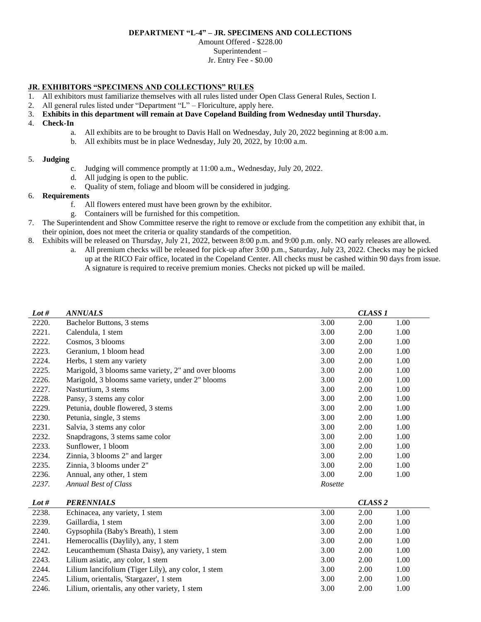#### **DEPARTMENT "L-4" – JR. SPECIMENS AND COLLECTIONS**

Amount Offered - \$228.00 Superintendent –

### Jr. Entry Fee - \$0.00

# **JR. EXHIBITORS "SPECIMENS AND COLLECTIONS" RULES**

- 1. All exhibitors must familiarize themselves with all rules listed under Open Class General Rules, Section I.
- 2. All general rules listed under "Department "L" Floriculture, apply here.
- 3. **Exhibits in this department will remain at Dave Copeland Building from Wednesday until Thursday.**
- 4. **Check-In**
	- a. All exhibits are to be brought to Davis Hall on Wednesday, July 20, 2022 beginning at 8:00 a.m.
	- b. All exhibits must be in place Wednesday, July 20, 2022, by 10:00 a.m.

# 5. **Judging**

- c. Judging will commence promptly at 11:00 a.m., Wednesday, July 20, 2022.
- d. All judging is open to the public.
- e. Quality of stem, foliage and bloom will be considered in judging.

# 6. **Requirements**

- f. All flowers entered must have been grown by the exhibitor.
- g. Containers will be furnished for this competition.
- 7. The Superintendent and Show Committee reserve the right to remove or exclude from the competition any exhibit that, in their opinion, does not meet the criteria or quality standards of the competition.
- 8. Exhibits will be released on Thursday, July 21, 2022, between 8:00 p.m. and 9:00 p.m. only. NO early releases are allowed.
	- a. All premium checks will be released for pick-up after 3:00 p.m., Saturday, July 23, 2022. Checks may be picked up at the RICO Fair office, located in the Copeland Center. All checks must be cashed within 90 days from issue. A signature is required to receive premium monies. Checks not picked up will be mailed.

| Lot # | <b>ANNUALS</b>                                      |         | <b>CLASS 1</b> |      |
|-------|-----------------------------------------------------|---------|----------------|------|
| 2220. | Bachelor Buttons, 3 stems                           | 3.00    | 2.00           | 1.00 |
| 2221. | Calendula, 1 stem                                   | 3.00    | 2.00           | 1.00 |
| 2222. | Cosmos, 3 blooms                                    | 3.00    | 2.00           | 1.00 |
| 2223. | Geranium, 1 bloom head                              | 3.00    | 2.00           | 1.00 |
| 2224. | Herbs, 1 stem any variety                           | 3.00    | 2.00           | 1.00 |
| 2225. | Marigold, 3 blooms same variety, 2" and over blooms | 3.00    | 2.00           | 1.00 |
| 2226. | Marigold, 3 blooms same variety, under 2" blooms    | 3.00    | 2.00           | 1.00 |
| 2227. | Nasturtium, 3 stems                                 | 3.00    | 2.00           | 1.00 |
| 2228. | Pansy, 3 stems any color                            | 3.00    | 2.00           | 1.00 |
| 2229. | Petunia, double flowered, 3 stems                   | 3.00    | 2.00           | 1.00 |
| 2230. | Petunia, single, 3 stems                            | 3.00    | 2.00           | 1.00 |
| 2231. | Salvia, 3 stems any color                           | 3.00    | 2.00           | 1.00 |
| 2232. | Snapdragons, 3 stems same color                     | 3.00    | 2.00           | 1.00 |
| 2233. | Sunflower, 1 bloom                                  | 3.00    | 2.00           | 1.00 |
| 2234. | Zinnia, 3 blooms 2" and larger                      | 3.00    | 2.00           | 1.00 |
| 2235. | Zinnia, 3 blooms under 2"                           | 3.00    | 2.00           | 1.00 |
| 2236. | Annual, any other, 1 stem                           | 3.00    | 2.00           | 1.00 |
| 2237. | Annual Best of Class                                | Rosette |                |      |

| Lot # | <b>PERENNIALS</b>                                  |      | CLASS <sub>2</sub> |      |
|-------|----------------------------------------------------|------|--------------------|------|
| 2238. | Echinacea, any variety, 1 stem                     | 3.00 | 2.00               | 1.00 |
| 2239. | Gaillardia, 1 stem                                 | 3.00 | 2.00               | 1.00 |
| 2240. | Gypsophila (Baby's Breath), 1 stem                 | 3.00 | 2.00               | 1.00 |
| 2241. | Hemerocallis (Daylily), any, 1 stem                | 3.00 | 2.00               | 1.00 |
| 2242. | Leucanthemum (Shasta Daisy), any variety, 1 stem   | 3.00 | 2.00               | 1.00 |
| 2243. | Lilium asiatic, any color, 1 stem                  | 3.00 | 2.00               | 1.00 |
| 2244. | Lilium lancifolium (Tiger Lily), any color, 1 stem | 3.00 | 2.00               | 1.00 |
| 2245. | Lilium, orientalis, 'Stargazer', 1 stem            | 3.00 | 2.00               | 1.00 |
| 2246. | Lilium, orientalis, any other variety, 1 stem      | 3.00 | 2.00               | 1.00 |